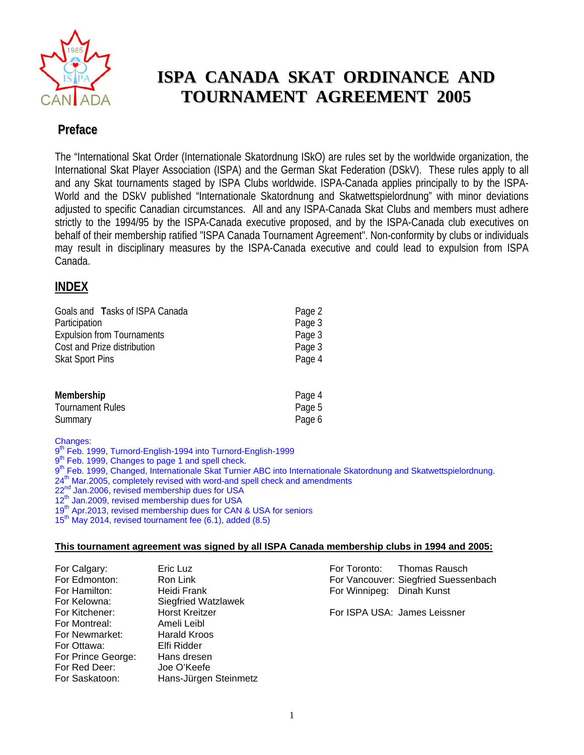

# **ISPA CANADA SKAT ORDINANCE AND TOURNAMENT AGREEMENT 2005**

# **Preface**

The "International Skat Order (Internationale Skatordnung ISkO) are rules set by the worldwide organization, the International Skat Player Association (ISPA) and the German Skat Federation (DSkV). These rules apply to all and any Skat tournaments staged by ISPA Clubs worldwide. ISPA-Canada applies principally to by the ISPA-World and the DSkV published "Internationale Skatordnung and Skatwettspielordnung" with minor deviations adjusted to specific Canadian circumstances. All and any ISPA-Canada Skat Clubs and members must adhere strictly to the 1994/95 by the ISPA-Canada executive proposed, and by the ISPA-Canada club executives on behalf of their membership ratified "ISPA Canada Tournament Agreement". Non-conformity by clubs or individuals may result in disciplinary measures by the ISPA-Canada executive and could lead to expulsion from ISPA Canada.

## **INDEX**

| Goals and Tasks of ISPA Canada    | Page 2 |
|-----------------------------------|--------|
| Participation                     | Page 3 |
| <b>Expulsion from Tournaments</b> | Page 3 |
| Cost and Prize distribution       | Page 3 |
| <b>Skat Sport Pins</b>            | Page 4 |
|                                   |        |
|                                   |        |

| Membership       | Page 4 |
|------------------|--------|
| Tournament Rules | Page 5 |
| Summary          | Page 6 |

#### Changes:

9<sup>th</sup> Feb. 1999, Turnord-English-1994 into Turnord-English-1999 9<sup>th</sup> Feb. 1999, Changes to page 1 and spell check. 9<sup>th</sup> Feb. 1999, Changed, Internationale Skat Turnier ABC into Internationale Skatordnung and Skatwettspielordnung. 24<sup>th</sup> Mar.2005, completely revised with word-and spell check and amendments 22<sup>nd</sup> Jan.2006, revised membership dues for USA 12<sup>th</sup> Jan.2009, revised membership dues for USA 19<sup>th</sup> Apr.2013, revised membership dues for CAN & USA for seniors

 $15<sup>th</sup>$  May 2014, revised tournament fee (6.1), added (8.5)

#### **This tournament agreement was signed by all ISPA Canada membership clubs in 1994 and 2005:**

| Eric Luz                   |
|----------------------------|
| Ron Link                   |
| Heidi Frank                |
| <b>Siegfried Watzlawek</b> |
| <b>Horst Kreitzer</b>      |
| Ameli Leibl                |
| <b>Harald Kroos</b>        |
| Elfi Ridder                |
| Hans dresen                |
| Joe O'Keefe                |
| Hans-Jürgen Steinmetz      |
|                            |

For Toronto: Thomas Rausch For Vancouver: Siegfried Suessenbach For Winnipeg: Dinah Kunst

For ISPA USA: James Leissner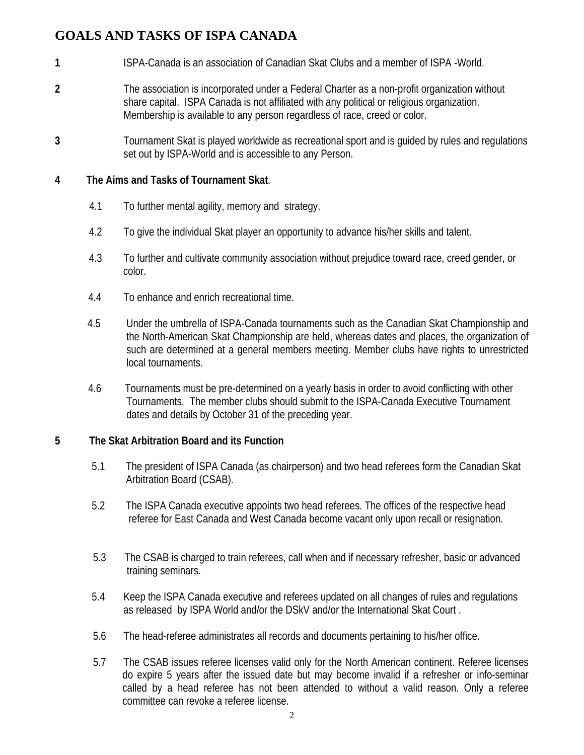# **GOALS AND TASKS OF ISPA CANADA**

- **1** ISPA-Canada is an association of Canadian Skat Clubs and a member of ISPA -World.
- **2** The association is incorporated under a Federal Charter as a non-profit organization without share capital. ISPA Canada is not affiliated with any political or religious organization. Membership is available to any person regardless of race, creed or color.
- **3** Tournament Skat is played worldwide as recreational sport and is guided by rules and regulations set out by ISPA-World and is accessible to any Person.

#### **4 The Aims and Tasks of Tournament Skat**.

- 4.1 To further mental agility, memory and strategy.
- 4.2 To give the individual Skat player an opportunity to advance his/her skills and talent.
- 4.3 To further and cultivate community association without prejudice toward race, creed gender, or color.
- 4.4 To enhance and enrich recreational time.
- 4.5 Under the umbrella of ISPA-Canada tournaments such as the Canadian Skat Championship and the North-American Skat Championship are held, whereas dates and places, the organization of such are determined at a general members meeting. Member clubs have rights to unrestricted local tournaments.
- 4.6 Tournaments must be pre-determined on a yearly basis in order to avoid conflicting with other Tournaments. The member clubs should submit to the ISPA-Canada Executive Tournament dates and details by October 31 of the preceding year.

#### **5 The Skat Arbitration Board and its Function**

- 5.1 The president of ISPA Canada (as chairperson) and two head referees form the Canadian Skat Arbitration Board (CSAB).
- 5.2 The ISPA Canada executive appoints two head referees. The offices of the respective head referee for East Canada and West Canada become vacant only upon recall or resignation.
- 5.3 The CSAB is charged to train referees, call when and if necessary refresher, basic or advanced training seminars.
- 5.4 Keep the ISPA Canada executive and referees updated on all changes of rules and regulations as released by ISPA World and/or the DSkV and/or the International Skat Court .
- 5.6 The head-referee administrates all records and documents pertaining to his/her office.
- 5.7 The CSAB issues referee licenses valid only for the North American continent. Referee licenses do expire 5 years after the issued date but may become invalid if a refresher or info-seminar called by a head referee has not been attended to without a valid reason. Only a referee committee can revoke a referee license.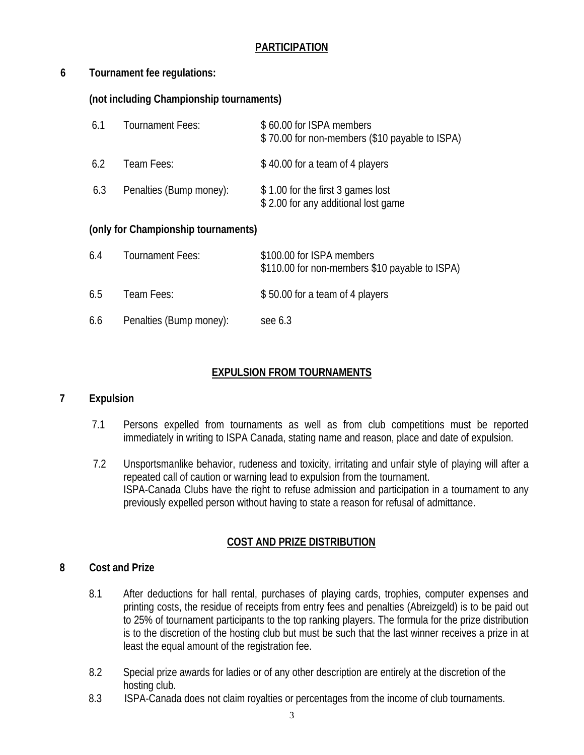#### **PARTICIPATION**

### **6 Tournament fee regulations:**

#### **(not including Championship tournaments)**

| 6.1 | Tournament Fees:        | \$60.00 for ISPA members<br>\$70.00 for non-members (\$10 payable to ISPA) |
|-----|-------------------------|----------------------------------------------------------------------------|
| 6.2 | Team Fees:              | \$40.00 for a team of 4 players                                            |
| 6.3 | Penalties (Bump money): | \$1.00 for the first 3 games lost<br>\$2.00 for any additional lost game   |

#### **(only for Championship tournaments)**

| 6.4 | Tournament Fees:        | \$100.00 for ISPA members<br>\$110.00 for non-members \$10 payable to ISPA) |
|-----|-------------------------|-----------------------------------------------------------------------------|
| 6.5 | Team Fees:              | \$50.00 for a team of 4 players                                             |
| 6.6 | Penalties (Bump money): | see $6.3$                                                                   |

## **EXPULSION FROM TOURNAMENTS**

#### **7 Expulsion**

- 7.1 Persons expelled from tournaments as well as from club competitions must be reported immediately in writing to ISPA Canada, stating name and reason, place and date of expulsion.
- 7.2 Unsportsmanlike behavior, rudeness and toxicity, irritating and unfair style of playing will after a repeated call of caution or warning lead to expulsion from the tournament. ISPA-Canada Clubs have the right to refuse admission and participation in a tournament to any previously expelled person without having to state a reason for refusal of admittance.

## **COST AND PRIZE DISTRIBUTION**

#### **8 Cost and Prize**

- 8.1 After deductions for hall rental, purchases of playing cards, trophies, computer expenses and printing costs, the residue of receipts from entry fees and penalties (Abreizgeld) is to be paid out to 25% of tournament participants to the top ranking players. The formula for the prize distribution is to the discretion of the hosting club but must be such that the last winner receives a prize in at least the equal amount of the registration fee.
- 8.2 Special prize awards for ladies or of any other description are entirely at the discretion of the hosting club.
- 8.3 ISPA-Canada does not claim royalties or percentages from the income of club tournaments.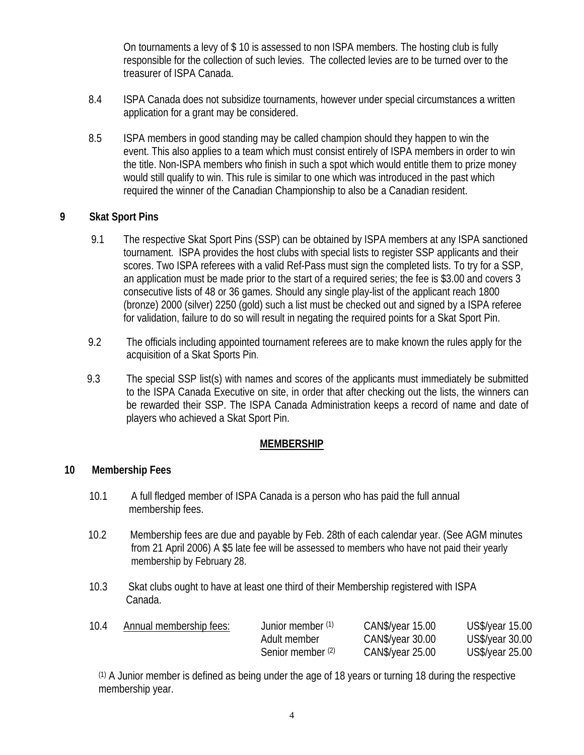On tournaments a levy of \$ 10 is assessed to non ISPA members. The hosting club is fully responsible for the collection of such levies. The collected levies are to be turned over to the treasurer of ISPA Canada.

- 8.4 ISPA Canada does not subsidize tournaments, however under special circumstances a written application for a grant may be considered.
- 8.5 ISPA members in good standing may be called champion should they happen to win the event. This also applies to a team which must consist entirely of ISPA members in order to win the title. Non-ISPA members who finish in such a spot which would entitle them to prize money would still qualify to win. This rule is similar to one which was introduced in the past which required the winner of the Canadian Championship to also be a Canadian resident.

### **9 Skat Sport Pins**

- 9.1 The respective Skat Sport Pins (SSP) can be obtained by ISPA members at any ISPA sanctioned tournament. ISPA provides the host clubs with special lists to register SSP applicants and their scores. Two ISPA referees with a valid Ref-Pass must sign the completed lists. To try for a SSP, an application must be made prior to the start of a required series; the fee is \$3.00 and covers 3 consecutive lists of 48 or 36 games. Should any single play-list of the applicant reach 1800 (bronze) 2000 (silver) 2250 (gold) such a list must be checked out and signed by a ISPA referee for validation, failure to do so will result in negating the required points for a Skat Sport Pin.
- 9.2 The officials including appointed tournament referees are to make known the rules apply for the acquisition of a Skat Sports Pin.
- 9.3 The special SSP list(s) with names and scores of the applicants must immediately be submitted to the ISPA Canada Executive on site, in order that after checking out the lists, the winners can be rewarded their SSP. The ISPA Canada Administration keeps a record of name and date of players who achieved a Skat Sport Pin.

#### **MEMBERSHIP**

#### **10 Membership Fees**

- 10.1 A full fledged member of ISPA Canada is a person who has paid the full annual membership fees.
- 10.2 Membership fees are due and payable by Feb. 28th of each calendar year. (See AGM minutes from 21 April 2006) A \$5 late fee will be assessed to members who have not paid their yearly membership by February 28.
- 10.3 Skat clubs ought to have at least one third of their Membership registered with ISPA Canada.

| 10.4 | Annual membership fees: | Junior member (1) | CAN\$/year 15.00 | US\$/year 15.00 |
|------|-------------------------|-------------------|------------------|-----------------|
|      |                         | Adult member      | CAN\$/year 30.00 | US\$/year 30.00 |
|      |                         | Senior member (2) | CAN\$/year 25.00 | US\$/year 25.00 |

(1) A Junior member is defined as being under the age of 18 years or turning 18 during the respective membership year.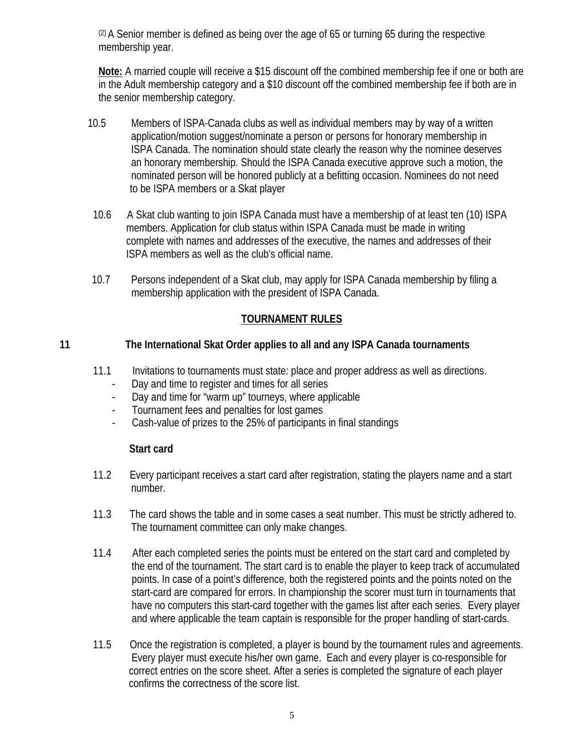$(2)$  A Senior member is defined as being over the age of 65 or turning 65 during the respective membership year.

**Note:** A married couple will receive a \$15 discount off the combined membership fee if one or both are in the Adult membership category and a \$10 discount off the combined membership fee if both are in the senior membership category.

- 10.5 Members of ISPA-Canada clubs as well as individual members may by way of a written application/motion suggest/nominate a person or persons for honorary membership in ISPA Canada. The nomination should state clearly the reason why the nominee deserves an honorary membership. Should the ISPA Canada executive approve such a motion, the nominated person will be honored publicly at a befitting occasion. Nominees do not need to be ISPA members or a Skat player
- 10.6 A Skat club wanting to join ISPA Canada must have a membership of at least ten (10) ISPA members. Application for club status within ISPA Canada must be made in writing complete with names and addresses of the executive, the names and addresses of their ISPA members as well as the club's official name.
- 10.7 Persons independent of a Skat club, may apply for ISPA Canada membership by filing a membership application with the president of ISPA Canada.

## **TOURNAMENT RULES**

### **11 The International Skat Order applies to all and any ISPA Canada tournaments**

- 11.1 Invitations to tournaments must state: place and proper address as well as directions.
	- Day and time to register and times for all series
	- Day and time for "warm up" tourneys, where applicable
	- Tournament fees and penalties for lost games
	- Cash-value of prizes to the 25% of participants in final standings

#### **Start card**

- 11.2 Every participant receives a start card after registration, stating the players name and a start number.
- 11.3 The card shows the table and in some cases a seat number. This must be strictly adhered to. The tournament committee can only make changes.
- 11.4 After each completed series the points must be entered on the start card and completed by the end of the tournament. The start card is to enable the player to keep track of accumulated points. In case of a point's difference, both the registered points and the points noted on the start-card are compared for errors. In championship the scorer must turn in tournaments that have no computers this start-card together with the games list after each series. Every player and where applicable the team captain is responsible for the proper handling of start-cards.
- 11.5 Once the registration is completed, a player is bound by the tournament rules and agreements. Every player must execute his/her own game. Each and every player is co-responsible for correct entries on the score sheet. After a series is completed the signature of each player confirms the correctness of the score list.